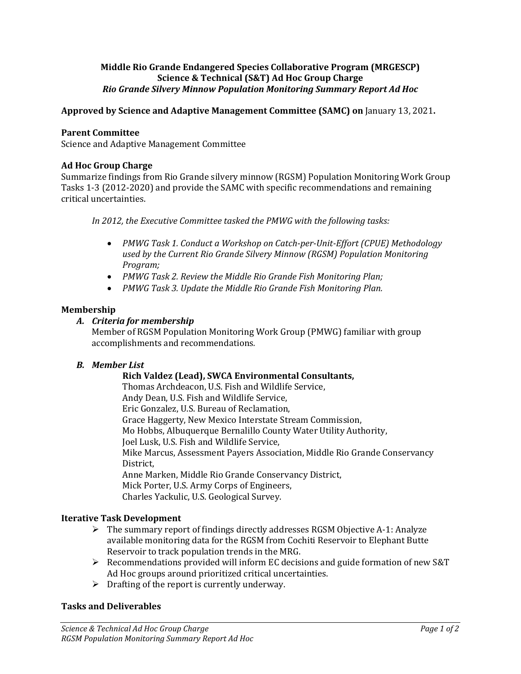## **Middle Rio Grande Endangered Species Collaborative Program (MRGESCP) Science & Technical (S&T) Ad Hoc Group Charge**  *Rio Grande Silvery Minnow Population Monitoring Summary Report Ad Hoc*

# **Approved by Science and Adaptive Management Committee (SAMC) on** January 13, 2021**.**

### **Parent Committee**

Science and Adaptive Management Committee

### **Ad Hoc Group Charge**

Summarize findings from Rio Grande silvery minnow (RGSM) Population Monitoring Work Group Tasks 1-3 (2012-2020) and provide the SAMC with specific recommendations and remaining critical uncertainties.

*In 2012, the Executive Committee tasked the PMWG with the following tasks:* 

- *PMWG Task 1. Conduct a Workshop on Catch-per-Unit-Effort (CPUE) Methodology used by the Current Rio Grande Silvery Minnow (RGSM) Population Monitoring Program;*
- *PMWG Task 2. Review the Middle Rio Grande Fish Monitoring Plan;*
- *PMWG Task 3. Update the Middle Rio Grande Fish Monitoring Plan.*

### **Membership**

### *A. Criteria for membership*

Member of RGSM Population Monitoring Work Group (PMWG) familiar with group accomplishments and recommendations*.*

## *B. Member List*

# **Rich Valdez (Lead), SWCA Environmental Consultants,**

Thomas Archdeacon, U.S. Fish and Wildlife Service, Andy Dean, U.S. Fish and Wildlife Service, Eric Gonzalez, U.S. Bureau of Reclamation, Grace Haggerty, New Mexico Interstate Stream Commission, Mo Hobbs, Albuquerque Bernalillo County Water Utility Authority, Joel Lusk, U.S. Fish and Wildlife Service, Mike Marcus, Assessment Payers Association, Middle Rio Grande Conservancy District, Anne Marken, Middle Rio Grande Conservancy District, Mick Porter, U.S. Army Corps of Engineers, Charles Yackulic, U.S. Geological Survey.

## **Iterative Task Development**

- $\triangleright$  The summary report of findings directly addresses RGSM Objective A-1: Analyze available monitoring data for the RGSM from Cochiti Reservoir to Elephant Butte Reservoir to track population trends in the MRG.
- $\triangleright$  Recommendations provided will inform EC decisions and guide formation of new S&T Ad Hoc groups around prioritized critical uncertainties.
- $\triangleright$  Drafting of the report is currently underway.

## **Tasks and Deliverables**